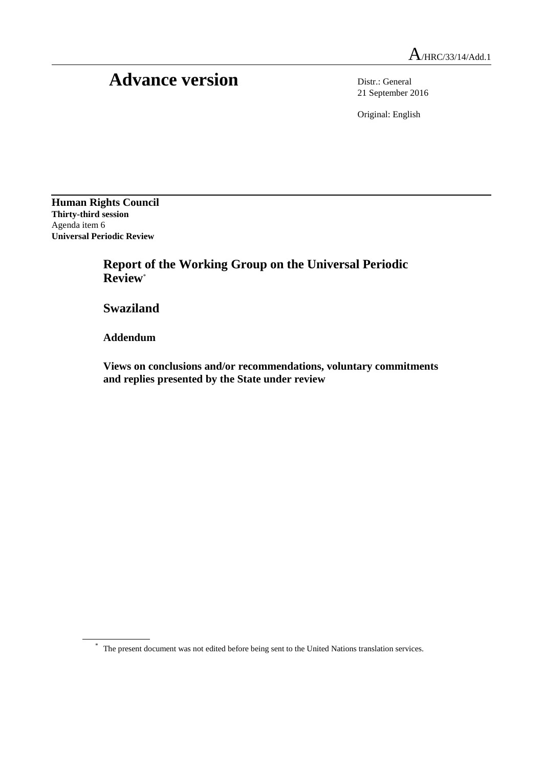# Advance version Distr.: General

21 September 2016

Original: English

**Human Rights Council Thirty-third session** Agenda item 6 **Universal Periodic Review**

> **Report of the Working Group on the Universal Periodic Review**\*

**Swaziland**

**Addendum**

**Views on conclusions and/or recommendations, voluntary commitments and replies presented by the State under review**

\* The present document was not edited before being sent to the United Nations translation services.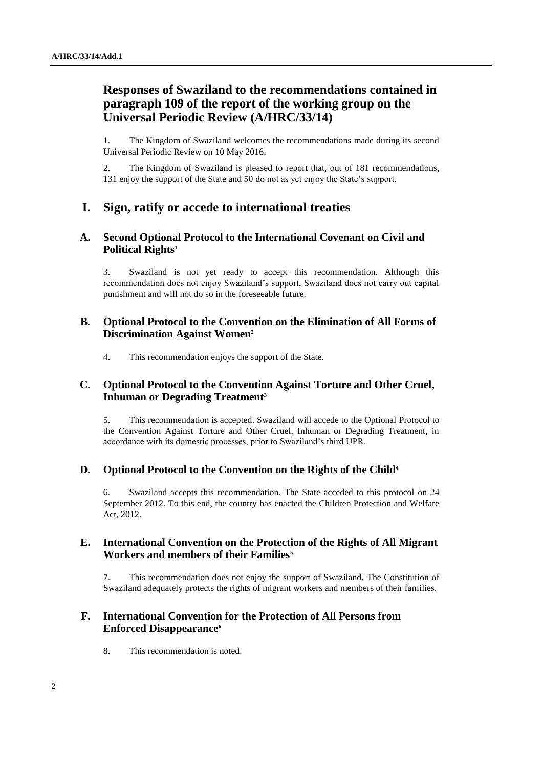# **Responses of Swaziland to the recommendations contained in paragraph 109 of the report of the working group on the Universal Periodic Review (A/HRC/33/14)**

1. The Kingdom of Swaziland welcomes the recommendations made during its second Universal Periodic Review on 10 May 2016.

2. The Kingdom of Swaziland is pleased to report that, out of 181 recommendations, 131 enjoy the support of the State and 50 do not as yet enjoy the State's support.

# **I. Sign, ratify or accede to international treaties**

## **A. Second Optional Protocol to the International Covenant on Civil and Political Rights<sup>1</sup>**

3. Swaziland is not yet ready to accept this recommendation. Although this recommendation does not enjoy Swaziland's support, Swaziland does not carry out capital punishment and will not do so in the foreseeable future.

## **B. Optional Protocol to the Convention on the Elimination of All Forms of Discrimination Against Women<sup>2</sup>**

4. This recommendation enjoys the support of the State.

## **C. Optional Protocol to the Convention Against Torture and Other Cruel, Inhuman or Degrading Treatment<sup>3</sup>**

5. This recommendation is accepted. Swaziland will accede to the Optional Protocol to the Convention Against Torture and Other Cruel, Inhuman or Degrading Treatment, in accordance with its domestic processes, prior to Swaziland's third UPR.

## **D. Optional Protocol to the Convention on the Rights of the Child<sup>4</sup>**

6. Swaziland accepts this recommendation. The State acceded to this protocol on 24 September 2012. To this end, the country has enacted the Children Protection and Welfare Act, 2012.

## **E. International Convention on the Protection of the Rights of All Migrant Workers and members of their Families<sup>5</sup>**

7. This recommendation does not enjoy the support of Swaziland. The Constitution of Swaziland adequately protects the rights of migrant workers and members of their families.

# **F. International Convention for the Protection of All Persons from Enforced Disappearance<sup>6</sup>**

8. This recommendation is noted.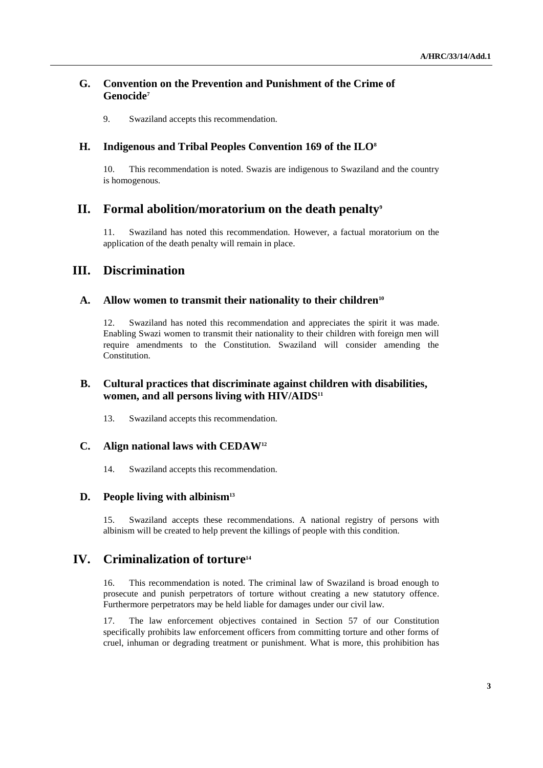## **G. Convention on the Prevention and Punishment of the Crime of Genocide<sup>7</sup>**

9. Swaziland accepts this recommendation.

#### **H. Indigenous and Tribal Peoples Convention 169 of the ILO<sup>8</sup>**

10. This recommendation is noted. Swazis are indigenous to Swaziland and the country is homogenous.

# **II. Formal abolition/moratorium on the death penalty<sup>9</sup>**

11. Swaziland has noted this recommendation. However, a factual moratorium on the application of the death penalty will remain in place.

# **III. Discrimination**

#### **A. Allow women to transmit their nationality to their children<sup>10</sup>**

12. Swaziland has noted this recommendation and appreciates the spirit it was made. Enabling Swazi women to transmit their nationality to their children with foreign men will require amendments to the Constitution. Swaziland will consider amending the Constitution.

## **B. Cultural practices that discriminate against children with disabilities, women, and all persons living with HIV/AIDS<sup>11</sup>**

13. Swaziland accepts this recommendation.

#### **C. Align national laws with CEDAW<sup>12</sup>**

14. Swaziland accepts this recommendation.

#### **D. People living with albinism<sup>13</sup>**

15. Swaziland accepts these recommendations. A national registry of persons with albinism will be created to help prevent the killings of people with this condition.

## **IV. Criminalization of torture<sup>14</sup>**

16. This recommendation is noted. The criminal law of Swaziland is broad enough to prosecute and punish perpetrators of torture without creating a new statutory offence. Furthermore perpetrators may be held liable for damages under our civil law.

17. The law enforcement objectives contained in Section 57 of our Constitution specifically prohibits law enforcement officers from committing torture and other forms of cruel, inhuman or degrading treatment or punishment. What is more, this prohibition has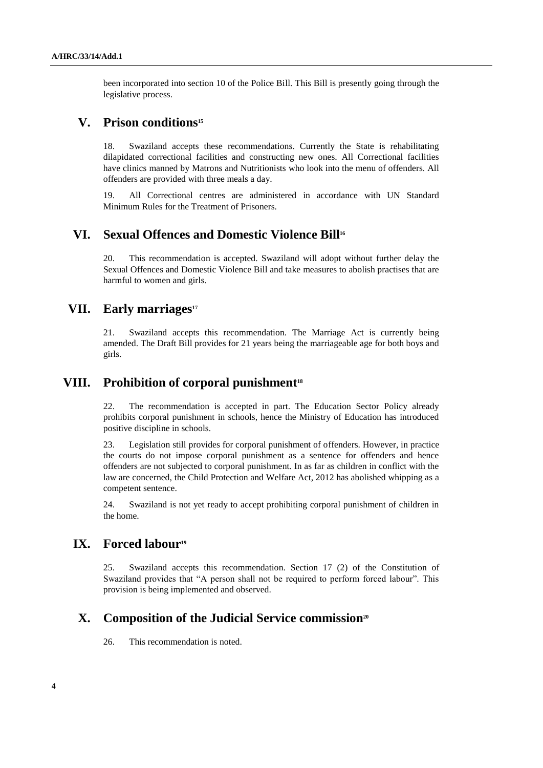been incorporated into section 10 of the Police Bill. This Bill is presently going through the legislative process.

## **V. Prison conditions<sup>15</sup>**

18. Swaziland accepts these recommendations. Currently the State is rehabilitating dilapidated correctional facilities and constructing new ones. All Correctional facilities have clinics manned by Matrons and Nutritionists who look into the menu of offenders. All offenders are provided with three meals a day.

19. All Correctional centres are administered in accordance with UN Standard Minimum Rules for the Treatment of Prisoners.

# **VI. Sexual Offences and Domestic Violence Bill<sup>16</sup>**

20. This recommendation is accepted. Swaziland will adopt without further delay the Sexual Offences and Domestic Violence Bill and take measures to abolish practises that are harmful to women and girls.

# **VII. Early marriages<sup>17</sup>**

21. Swaziland accepts this recommendation. The Marriage Act is currently being amended. The Draft Bill provides for 21 years being the marriageable age for both boys and girls.

## **VIII. Prohibition of corporal punishment<sup>18</sup>**

22. The recommendation is accepted in part. The Education Sector Policy already prohibits corporal punishment in schools, hence the Ministry of Education has introduced positive discipline in schools.

23. Legislation still provides for corporal punishment of offenders. However, in practice the courts do not impose corporal punishment as a sentence for offenders and hence offenders are not subjected to corporal punishment. In as far as children in conflict with the law are concerned, the Child Protection and Welfare Act, 2012 has abolished whipping as a competent sentence.

24. Swaziland is not yet ready to accept prohibiting corporal punishment of children in the home.

# **IX. Forced labour<sup>19</sup>**

25. Swaziland accepts this recommendation. Section 17 (2) of the Constitution of Swaziland provides that "A person shall not be required to perform forced labour". This provision is being implemented and observed.

# **X. Composition of the Judicial Service commission<sup>20</sup>**

26. This recommendation is noted.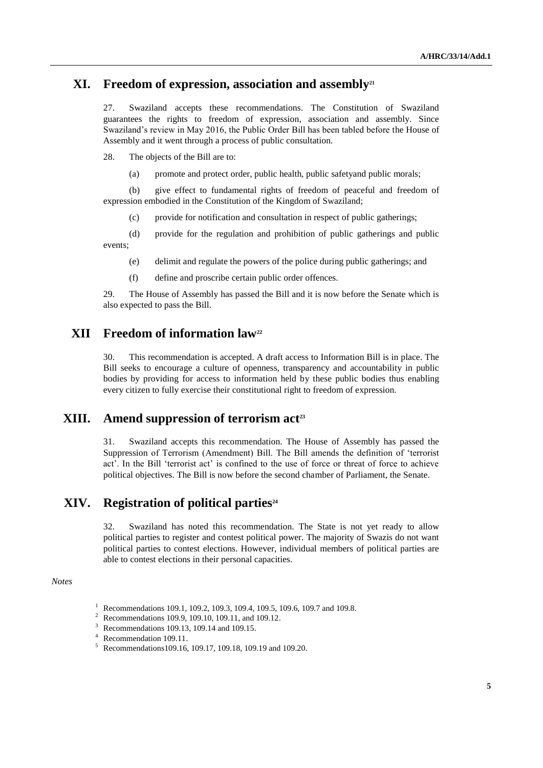## **XI. Freedom of expression, association and assembly<sup>21</sup>**

27. Swaziland accepts these recommendations. The Constitution of Swaziland guarantees the rights to freedom of expression, association and assembly. Since Swaziland's review in May 2016, the Public Order Bill has been tabled before the House of Assembly and it went through a process of public consultation.

28. The objects of the Bill are to:

(a) promote and protect order, public health, public safetyand public morals;

(b) give effect to fundamental rights of freedom of peaceful and freedom of expression embodied in the Constitution of the Kingdom of Swaziland;

(c) provide for notification and consultation in respect of public gatherings;

(d) provide for the regulation and prohibition of public gatherings and public events;

- (e) delimit and regulate the powers of the police during public gatherings; and
- (f) define and proscribe certain public order offences.

29. The House of Assembly has passed the Bill and it is now before the Senate which is also expected to pass the Bill.

# **XII Freedom of information law<sup>22</sup>**

30. This recommendation is accepted. A draft access to Information Bill is in place. The Bill seeks to encourage a culture of openness, transparency and accountability in public bodies by providing for access to information held by these public bodies thus enabling every citizen to fully exercise their constitutional right to freedom of expression.

# **XIII. Amend suppression of terrorism act<sup>23</sup>**

31. Swaziland accepts this recommendation. The House of Assembly has passed the Suppression of Terrorism (Amendment) Bill. The Bill amends the definition of 'terrorist act'. In the Bill 'terrorist act' is confined to the use of force or threat of force to achieve political objectives. The Bill is now before the second chamber of Parliament, the Senate.

# **XIV. Registration of political parties<sup>24</sup>**

32. Swaziland has noted this recommendation. The State is not yet ready to allow political parties to register and contest political power. The majority of Swazis do not want political parties to contest elections. However, individual members of political parties are able to contest elections in their personal capacities.

#### *Notes*

- <sup>3</sup> Recommendations 109.13, 109.14 and 109.15.
- <sup>4</sup> Recommendation 109.11.
- <sup>5</sup> Recommendations109.16, 109.17, 109.18, 109.19 and 109.20.

<sup>&</sup>lt;sup>1</sup> Recommendations 109.1, 109.2, 109.3, 109.4, 109.5, 109.6, 109.7 and 109.8.<br><sup>2</sup> Recommendations 100.0, 100.10, 100.11, and 100.12

<sup>&</sup>lt;sup>2</sup> Recommendations 109.9, 109.10, 109.11, and 109.12.<br><sup>3</sup> December 100.12, 100.14 and 100.15